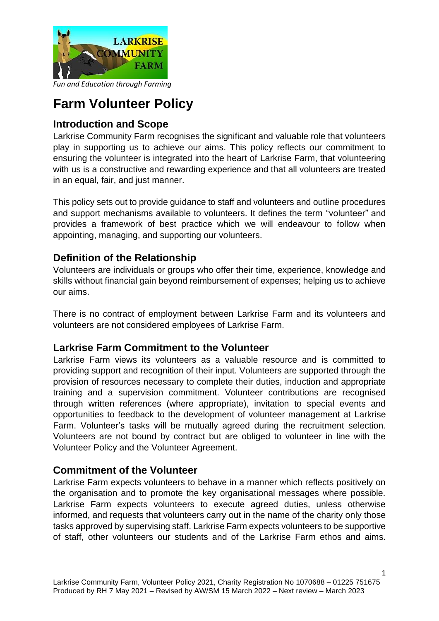

*Fun and Education through Farming*

# **Farm Volunteer Policy**

## **Introduction and Scope**

Larkrise Community Farm recognises the significant and valuable role that volunteers play in supporting us to achieve our aims. This policy reflects our commitment to ensuring the volunteer is integrated into the heart of Larkrise Farm, that volunteering with us is a constructive and rewarding experience and that all volunteers are treated in an equal, fair, and just manner.

This policy sets out to provide guidance to staff and volunteers and outline procedures and support mechanisms available to volunteers. It defines the term "volunteer" and provides a framework of best practice which we will endeavour to follow when appointing, managing, and supporting our volunteers.

## **Definition of the Relationship**

Volunteers are individuals or groups who offer their time, experience, knowledge and skills without financial gain beyond reimbursement of expenses; helping us to achieve our aims.

There is no contract of employment between Larkrise Farm and its volunteers and volunteers are not considered employees of Larkrise Farm.

### **Larkrise Farm Commitment to the Volunteer**

Larkrise Farm views its volunteers as a valuable resource and is committed to providing support and recognition of their input. Volunteers are supported through the provision of resources necessary to complete their duties, induction and appropriate training and a supervision commitment. Volunteer contributions are recognised through written references (where appropriate), invitation to special events and opportunities to feedback to the development of volunteer management at Larkrise Farm. Volunteer's tasks will be mutually agreed during the recruitment selection. Volunteers are not bound by contract but are obliged to volunteer in line with the Volunteer Policy and the Volunteer Agreement.

### **Commitment of the Volunteer**

Larkrise Farm expects volunteers to behave in a manner which reflects positively on the organisation and to promote the key organisational messages where possible. Larkrise Farm expects volunteers to execute agreed duties, unless otherwise informed, and requests that volunteers carry out in the name of the charity only those tasks approved by supervising staff. Larkrise Farm expects volunteers to be supportive of staff, other volunteers our students and of the Larkrise Farm ethos and aims.

1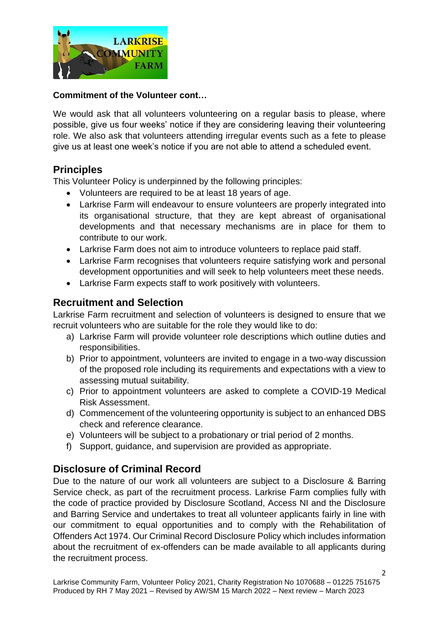

#### **Commitment of the Volunteer cont…**

We would ask that all volunteers volunteering on a regular basis to please, where possible, give us four weeks' notice if they are considering leaving their volunteering role. We also ask that volunteers attending irregular events such as a fete to please give us at least one week's notice if you are not able to attend a scheduled event.

### **Principles**

This Volunteer Policy is underpinned by the following principles:

- Volunteers are required to be at least 18 years of age.
- Larkrise Farm will endeavour to ensure volunteers are properly integrated into its organisational structure, that they are kept abreast of organisational developments and that necessary mechanisms are in place for them to contribute to our work.
- Larkrise Farm does not aim to introduce volunteers to replace paid staff.
- Larkrise Farm recognises that volunteers require satisfying work and personal development opportunities and will seek to help volunteers meet these needs.
- Larkrise Farm expects staff to work positively with volunteers.

## **Recruitment and Selection**

Larkrise Farm recruitment and selection of volunteers is designed to ensure that we recruit volunteers who are suitable for the role they would like to do:

- a) Larkrise Farm will provide volunteer role descriptions which outline duties and responsibilities.
- b) Prior to appointment, volunteers are invited to engage in a two-way discussion of the proposed role including its requirements and expectations with a view to assessing mutual suitability.
- c) Prior to appointment volunteers are asked to complete a COVID-19 Medical Risk Assessment.
- d) Commencement of the volunteering opportunity is subject to an enhanced DBS check and reference clearance.
- e) Volunteers will be subject to a probationary or trial period of 2 months.
- f) Support, guidance, and supervision are provided as appropriate.

# **Disclosure of Criminal Record**

Due to the nature of our work all volunteers are subject to a Disclosure & Barring Service check, as part of the recruitment process. Larkrise Farm complies fully with the code of practice provided by Disclosure Scotland, Access NI and the Disclosure and Barring Service and undertakes to treat all volunteer applicants fairly in line with our commitment to equal opportunities and to comply with the Rehabilitation of Offenders Act 1974. Our Criminal Record Disclosure Policy which includes information about the recruitment of ex-offenders can be made available to all applicants during the recruitment process.

2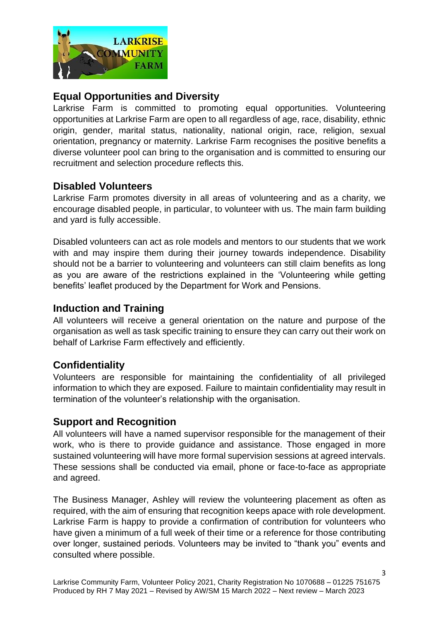

# **Equal Opportunities and Diversity**

Larkrise Farm is committed to promoting equal opportunities. Volunteering opportunities at Larkrise Farm are open to all regardless of age, race, disability, ethnic origin, gender, marital status, nationality, national origin, race, religion, sexual orientation, pregnancy or maternity. Larkrise Farm recognises the positive benefits a diverse volunteer pool can bring to the organisation and is committed to ensuring our recruitment and selection procedure reflects this.

## **Disabled Volunteers**

Larkrise Farm promotes diversity in all areas of volunteering and as a charity, we encourage disabled people, in particular, to volunteer with us. The main farm building and yard is fully accessible.

Disabled volunteers can act as role models and mentors to our students that we work with and may inspire them during their journey towards independence. Disability should not be a barrier to volunteering and volunteers can still claim benefits as long as you are aware of the restrictions explained in the 'Volunteering while getting benefits' leaflet produced by the Department for Work and Pensions.

## **Induction and Training**

All volunteers will receive a general orientation on the nature and purpose of the organisation as well as task specific training to ensure they can carry out their work on behalf of Larkrise Farm effectively and efficiently.

# **Confidentiality**

Volunteers are responsible for maintaining the confidentiality of all privileged information to which they are exposed. Failure to maintain confidentiality may result in termination of the volunteer's relationship with the organisation.

### **Support and Recognition**

All volunteers will have a named supervisor responsible for the management of their work, who is there to provide guidance and assistance. Those engaged in more sustained volunteering will have more formal supervision sessions at agreed intervals. These sessions shall be conducted via email, phone or face-to-face as appropriate and agreed.

The Business Manager, Ashley will review the volunteering placement as often as required, with the aim of ensuring that recognition keeps apace with role development. Larkrise Farm is happy to provide a confirmation of contribution for volunteers who have given a minimum of a full week of their time or a reference for those contributing over longer, sustained periods. Volunteers may be invited to "thank you" events and consulted where possible.